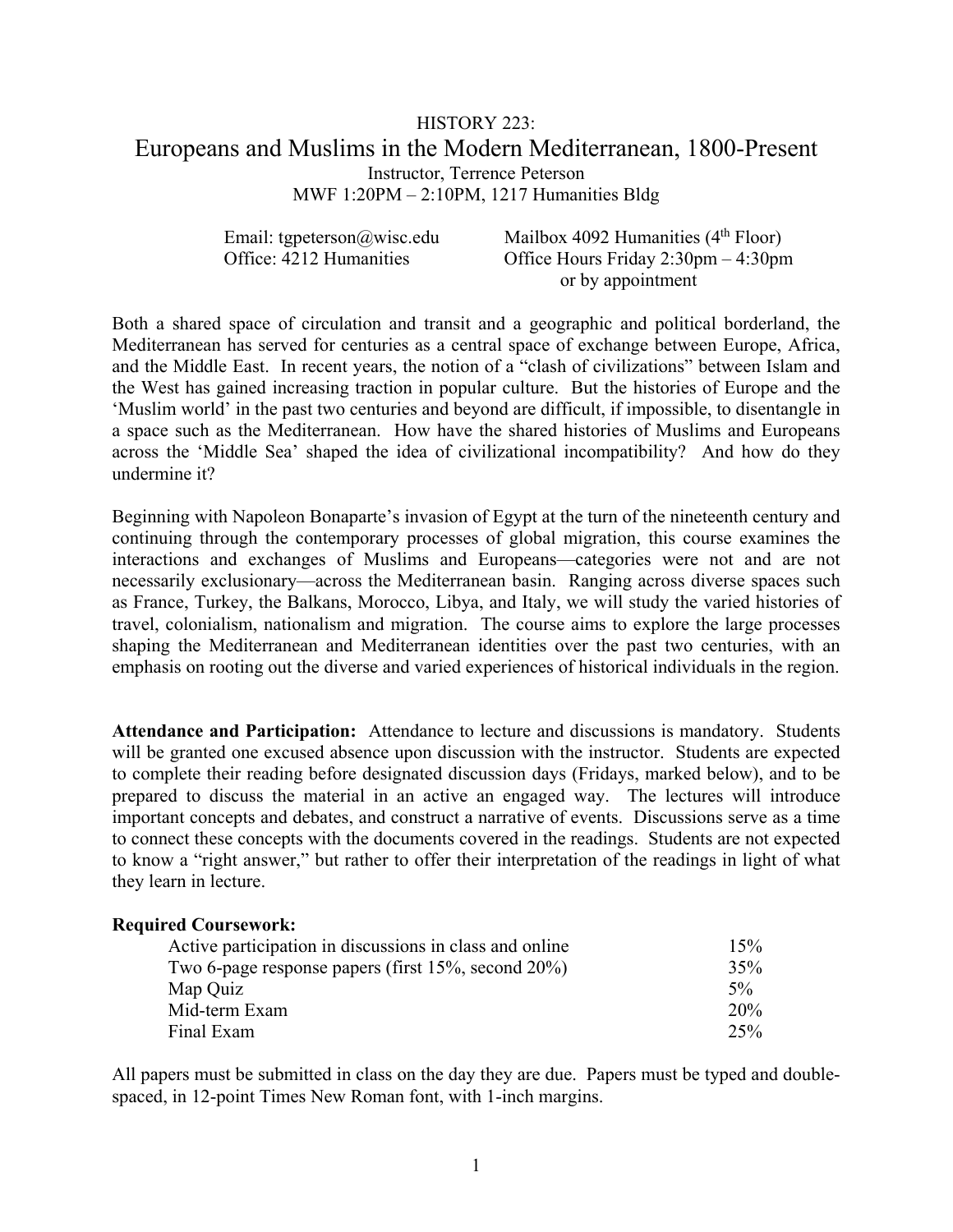# HISTORY 223: Europeans and Muslims in the Modern Mediterranean, 1800-Present Instructor, Terrence Peterson MWF 1:20PM – 2:10PM, 1217 Humanities Bldg

Email: tgpeterson@wisc.edu Mailbox 4092 Humanities (4<sup>th</sup> Floor)<br>Office: 4212 Humanities Office Hours Friday 2:30pm – 4:30pm Office Hours Friday  $2:30 \text{pm} - 4:30 \text{pm}$ or by appointment

Both a shared space of circulation and transit and a geographic and political borderland, the Mediterranean has served for centuries as a central space of exchange between Europe, Africa, and the Middle East. In recent years, the notion of a "clash of civilizations" between Islam and the West has gained increasing traction in popular culture. But the histories of Europe and the 'Muslim world' in the past two centuries and beyond are difficult, if impossible, to disentangle in a space such as the Mediterranean. How have the shared histories of Muslims and Europeans across the 'Middle Sea' shaped the idea of civilizational incompatibility? And how do they undermine it?

Beginning with Napoleon Bonaparte's invasion of Egypt at the turn of the nineteenth century and continuing through the contemporary processes of global migration, this course examines the interactions and exchanges of Muslims and Europeans—categories were not and are not necessarily exclusionary—across the Mediterranean basin. Ranging across diverse spaces such as France, Turkey, the Balkans, Morocco, Libya, and Italy, we will study the varied histories of travel, colonialism, nationalism and migration. The course aims to explore the large processes shaping the Mediterranean and Mediterranean identities over the past two centuries, with an emphasis on rooting out the diverse and varied experiences of historical individuals in the region.

**Attendance and Participation:** Attendance to lecture and discussions is mandatory. Students will be granted one excused absence upon discussion with the instructor. Students are expected to complete their reading before designated discussion days (Fridays, marked below), and to be prepared to discuss the material in an active an engaged way. The lectures will introduce important concepts and debates, and construct a narrative of events. Discussions serve as a time to connect these concepts with the documents covered in the readings. Students are not expected to know a "right answer," but rather to offer their interpretation of the readings in light of what they learn in lecture.

#### **Required Coursework:**

| Active participation in discussions in class and online    | 15%   |
|------------------------------------------------------------|-------|
| Two 6-page response papers (first $15\%$ , second $20\%$ ) | 35%   |
| Map Quiz                                                   | $5\%$ |
| Mid-term Exam                                              | 20%   |
| Final Exam                                                 | 25%   |

All papers must be submitted in class on the day they are due. Papers must be typed and doublespaced, in 12-point Times New Roman font, with 1-inch margins.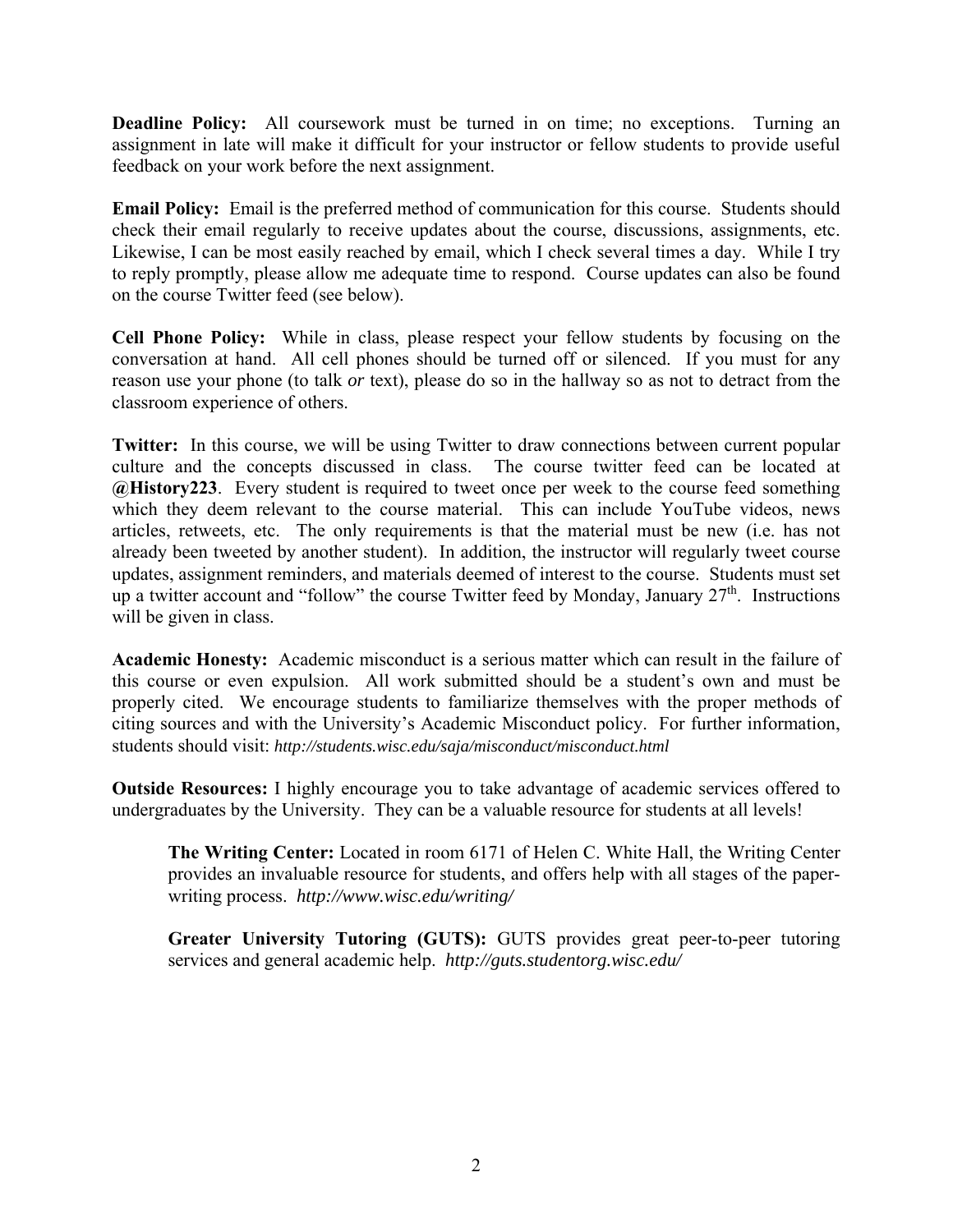**Deadline Policy:** All coursework must be turned in on time; no exceptions. Turning an assignment in late will make it difficult for your instructor or fellow students to provide useful feedback on your work before the next assignment.

**Email Policy:** Email is the preferred method of communication for this course. Students should check their email regularly to receive updates about the course, discussions, assignments, etc. Likewise, I can be most easily reached by email, which I check several times a day. While I try to reply promptly, please allow me adequate time to respond. Course updates can also be found on the course Twitter feed (see below).

**Cell Phone Policy:** While in class, please respect your fellow students by focusing on the conversation at hand. All cell phones should be turned off or silenced. If you must for any reason use your phone (to talk *or* text), please do so in the hallway so as not to detract from the classroom experience of others.

**Twitter:** In this course, we will be using Twitter to draw connections between current popular culture and the concepts discussed in class. The course twitter feed can be located at **@History223**. Every student is required to tweet once per week to the course feed something which they deem relevant to the course material. This can include YouTube videos, news articles, retweets, etc. The only requirements is that the material must be new (i.e. has not already been tweeted by another student). In addition, the instructor will regularly tweet course updates, assignment reminders, and materials deemed of interest to the course. Students must set up a twitter account and "follow" the course Twitter feed by Monday, January  $27<sup>th</sup>$ . Instructions will be given in class.

**Academic Honesty:** Academic misconduct is a serious matter which can result in the failure of this course or even expulsion. All work submitted should be a student's own and must be properly cited. We encourage students to familiarize themselves with the proper methods of citing sources and with the University's Academic Misconduct policy. For further information, students should visit: *http://students.wisc.edu/saja/misconduct/misconduct.html*

**Outside Resources:** I highly encourage you to take advantage of academic services offered to undergraduates by the University. They can be a valuable resource for students at all levels!

**The Writing Center:** Located in room 6171 of Helen C. White Hall, the Writing Center provides an invaluable resource for students, and offers help with all stages of the paperwriting process. *http://www.wisc.edu/writing/* 

**Greater University Tutoring (GUTS):** GUTS provides great peer-to-peer tutoring services and general academic help. *http://guts.studentorg.wisc.edu/*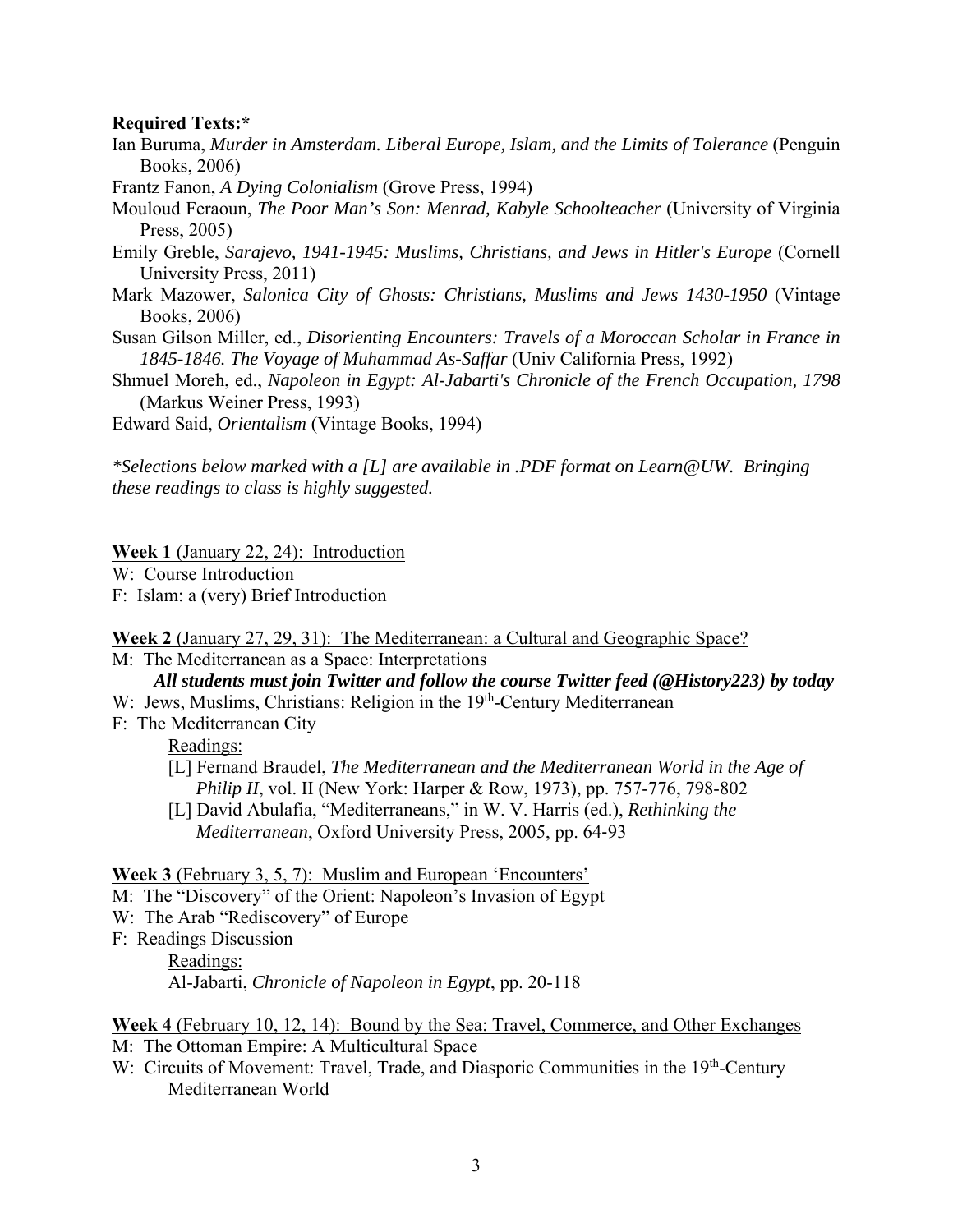### **Required Texts:\***

- Ian Buruma, *Murder in Amsterdam. Liberal Europe, Islam, and the Limits of Tolerance* (Penguin Books, 2006)
- Frantz Fanon, *A Dying Colonialism* (Grove Press, 1994)
- Mouloud Feraoun, *The Poor Man's Son: Menrad, Kabyle Schoolteacher* (University of Virginia Press, 2005)
- Emily Greble, *Sarajevo, 1941-1945: Muslims, Christians, and Jews in Hitler's Europe* (Cornell University Press, 2011)
- Mark Mazower, *Salonica City of Ghosts: Christians, Muslims and Jews 1430-1950* (Vintage Books, 2006)
- Susan Gilson Miller, ed., *Disorienting Encounters: Travels of a Moroccan Scholar in France in 1845-1846. The Voyage of Muhammad As-Saffar* (Univ California Press, 1992)
- Shmuel Moreh, ed., *Napoleon in Egypt: Al-Jabarti's Chronicle of the French Occupation, 1798* (Markus Weiner Press, 1993)

Edward Said, *Orientalism* (Vintage Books, 1994)

*\*Selections below marked with a [L] are available in .PDF format on Learn@UW. Bringing these readings to class is highly suggested.* 

#### **Week 1** (January 22, 24): Introduction

- W: Course Introduction
- F: Islam: a (very) Brief Introduction

#### **Week 2** (January 27, 29, 31): The Mediterranean: a Cultural and Geographic Space?

- M: The Mediterranean as a Space: Interpretations *All students must join Twitter and follow the course Twitter feed (@History223) by today*
- W: Jews, Muslims, Christians: Religion in the 19<sup>th</sup>-Century Mediterranean
- F: The Mediterranean City

#### Readings:

- [L] Fernand Braudel, *The Mediterranean and the Mediterranean World in the Age of Philip II*, vol. II (New York: Harper & Row, 1973), pp. 757-776, 798-802
- [L] David Abulafia, "Mediterraneans," in W. V. Harris (ed.), *Rethinking the Mediterranean*, Oxford University Press, 2005, pp. 64‐93

#### **Week 3** (February 3, 5, 7): Muslim and European 'Encounters'

- M: The "Discovery" of the Orient: Napoleon's Invasion of Egypt
- W: The Arab "Rediscovery" of Europe
- F: Readings Discussion

#### Readings:

Al-Jabarti, *Chronicle of Napoleon in Egypt*, pp. 20-118

### **Week 4** (February 10, 12, 14): Bound by the Sea: Travel, Commerce, and Other Exchanges M: The Ottoman Empire: A Multicultural Space

W: Circuits of Movement: Travel, Trade, and Diasporic Communities in the 19<sup>th</sup>-Century Mediterranean World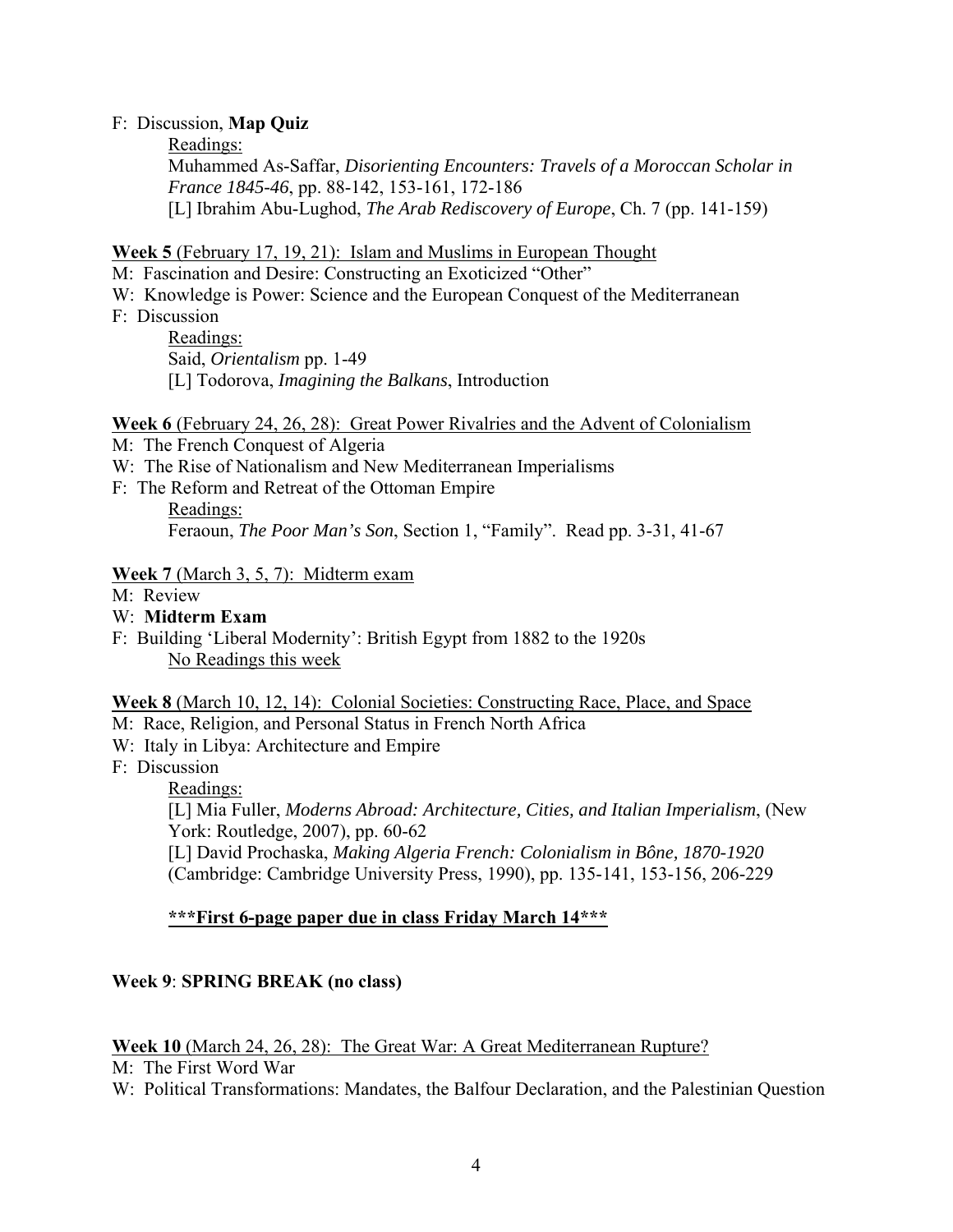### F: Discussion, **Map Quiz**

Readings:

Muhammed As-Saffar, *Disorienting Encounters: Travels of a Moroccan Scholar in France 1845-46*, pp. 88-142, 153-161, 172-186 [L] Ibrahim Abu-Lughod, *The Arab Rediscovery of Europe*, Ch. 7 (pp. 141-159)

## **Week 5** (February 17, 19, 21): Islam and Muslims in European Thought

- M: Fascination and Desire: Constructing an Exoticized "Other"
- W: Knowledge is Power: Science and the European Conquest of the Mediterranean
- F: Discussion

Readings: Said, *Orientalism* pp. 1-49 [L] Todorova, *Imagining the Balkans*, Introduction

## **Week 6** (February 24, 26, 28): Great Power Rivalries and the Advent of Colonialism

- M: The French Conquest of Algeria
- W: The Rise of Nationalism and New Mediterranean Imperialisms
- F: The Reform and Retreat of the Ottoman Empire
	- Readings: Feraoun, *The Poor Man's Son*, Section 1, "Family". Read pp. 3-31, 41-67

## **Week 7** (March 3, 5, 7): Midterm exam

- M: Review
- W: **Midterm Exam**
- F: Building 'Liberal Modernity': British Egypt from 1882 to the 1920s No Readings this week

### **Week 8** (March 10, 12, 14): Colonial Societies: Constructing Race, Place, and Space

- M: Race, Religion, and Personal Status in French North Africa
- W: Italy in Libya: Architecture and Empire
- F: Discussion
	- Readings:

[L] Mia Fuller, *Moderns Abroad: Architecture, Cities, and Italian Imperialism*, (New York: Routledge, 2007), pp. 60-62

[L] David Prochaska, *Making Algeria French: Colonialism in Bône, 1870-1920* (Cambridge: Cambridge University Press, 1990), pp. 135-141, 153-156, 206-229

## **\*\*\*First 6-page paper due in class Friday March 14\*\*\***

## **Week 9**: **SPRING BREAK (no class)**

### **Week 10** (March 24, 26, 28): The Great War: A Great Mediterranean Rupture?

M: The First Word War

W: Political Transformations: Mandates, the Balfour Declaration, and the Palestinian Question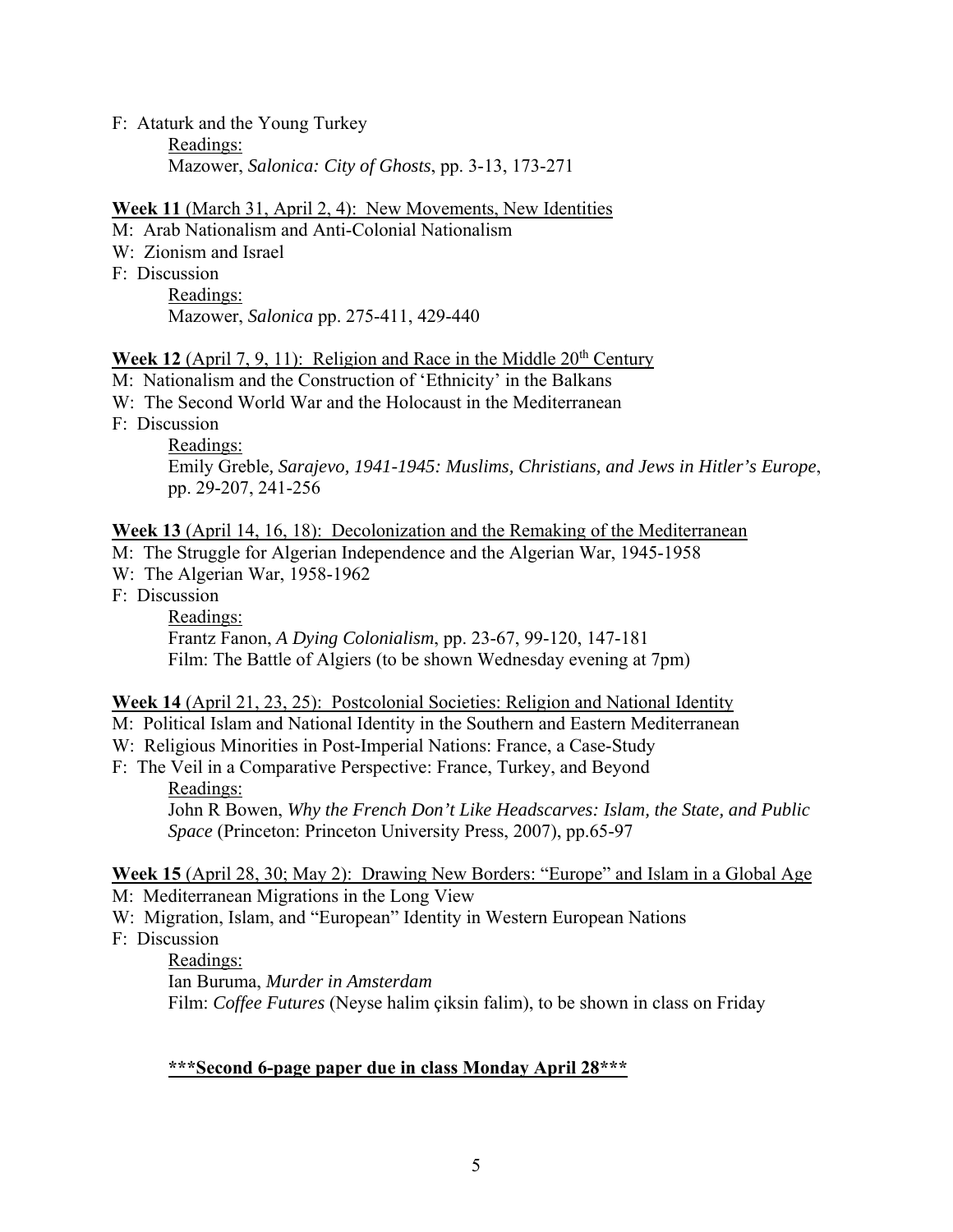## F: Ataturk and the Young Turkey Readings:

Mazower, *Salonica: City of Ghosts*, pp. 3-13, 173-271

# **Week 11** (March 31, April 2, 4): New Movements, New Identities

M: Arab Nationalism and Anti-Colonial Nationalism

- W: Zionism and Israel
- F: Discussion

Readings:

Mazower, *Salonica* pp. 275-411, 429-440

# **Week 12** (April 7, 9, 11): Religion and Race in the Middle  $20<sup>th</sup>$  Century

- M: Nationalism and the Construction of 'Ethnicity' in the Balkans
- W: The Second World War and the Holocaust in the Mediterranean
- F: Discussion

Readings: Emily Greble*, Sarajevo, 1941-1945: Muslims, Christians, and Jews in Hitler's Europe*, pp. 29-207, 241-256

# **Week 13** (April 14, 16, 18): Decolonization and the Remaking of the Mediterranean

- M: The Struggle for Algerian Independence and the Algerian War, 1945-1958
- W: The Algerian War, 1958-1962
- F: Discussion

Readings: Frantz Fanon, *A Dying Colonialism*, pp. 23-67, 99-120, 147-181 Film: The Battle of Algiers (to be shown Wednesday evening at 7pm)

# **Week 14** (April 21, 23, 25): Postcolonial Societies: Religion and National Identity

- M: Political Islam and National Identity in the Southern and Eastern Mediterranean
- W: Religious Minorities in Post-Imperial Nations: France, a Case-Study
- F: The Veil in a Comparative Perspective: France, Turkey, and Beyond Readings:

John R Bowen, *Why the French Don't Like Headscarves: Islam, the State, and Public Space* (Princeton: Princeton University Press, 2007), pp.65-97

## **Week 15** (April 28, 30; May 2): Drawing New Borders: "Europe" and Islam in a Global Age M: Mediterranean Migrations in the Long View

- W: Migration, Islam, and "European" Identity in Western European Nations
- F: Discussion

Readings: Ian Buruma, *Murder in Amsterdam* Film: *Coffee Futures* (Neyse halim çiksin falim), to be shown in class on Friday

# **\*\*\*Second 6-page paper due in class Monday April 28\*\*\***